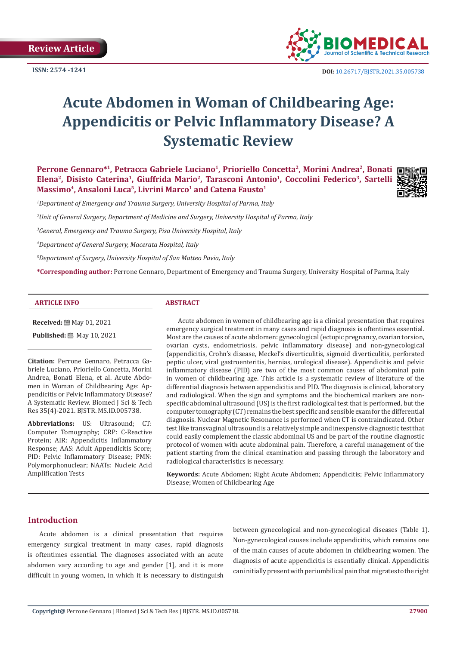**Review Article**

**ISSN: 2574 -1241**



 **DOI:** [10.26717/BJSTR.2021.35.005738](http://dx.doi.org/10.26717/BJSTR.2021.35.005738)

# **Acute Abdomen in Woman of Childbearing Age: Appendicitis or Pelvic Inflammatory Disease? A Systematic Review**

**Perrone Gennaro\*1, Petracca Gabriele Luciano<sup>1</sup>, Prioriello Concetta<sup>2</sup>, Morini Andrea<sup>2</sup>, Bonati □** Elena<sup>2</sup>, Disisto Caterina<sup>1</sup>, Giuffrida Mario<sup>2</sup>, Tarasconi Antonio<sup>1</sup>, Coccolini Federico<sup>3</sup>, Sartelli Massimo<sup>4</sup>, Ansaloni Luca<sup>5</sup>, Livrini Marco<sup>1</sup> and Catena Fausto<sup>1</sup>



*1 Department of Emergency and Trauma Surgery, University Hospital of Parma, Italy*

*2 Unit of General Surgery, Department of Medicine and Surgery, University Hospital of Parma, Italy*

*3 General, Emergency and Trauma Surgery, Pisa University Hospital, Italy*

*4 Department of General Surgery, Macerata Hospital, Italy*

*5 Department of Surgery, University Hospital of San Matteo Pavia, Italy*

**\*Corresponding author:** Perrone Gennaro, Department of Emergency and Trauma Surgery, University Hospital of Parma, Italy

#### **ARTICLE INFO ABSTRACT**

**Received:** 圖 May 01, 2021

**Published:** 圖 May 10, 2021

**Citation:** Perrone Gennaro, Petracca Gabriele Luciano, Prioriello Concetta, Morini Andrea, Bonati Elena, et al. Acute Abdomen in Woman of Childbearing Age: Appendicitis or Pelvic Inflammatory Disease? A Systematic Review. Biomed J Sci & Tech Res 35(4)-2021. BJSTR. MS.ID.005738.

**Abbreviations:** US: Ultrasound; CT: Computer Tomography; CRP: C-Reactive Protein; AIR: Appendicitis Inflammatory Response; AAS: Adult Appendicitis Score; PID: Pelvic Inflammatory Disease; PMN: Polymorphonuclear; NAATs: Nucleic Acid Amplification Tests

Acute abdomen in women of childbearing age is a clinical presentation that requires emergency surgical treatment in many cases and rapid diagnosis is oftentimes essential. Most are the causes of acute abdomen: gynecological (ectopic pregnancy, ovarian torsion, ovarian cysts, endometriosis, pelvic inflammatory disease) and non-gynecological (appendicitis, Crohn's disease, Meckel's diverticulitis, sigmoid diverticulitis, perforated peptic ulcer, viral gastroenteritis, hernias, urological disease). Appendicitis and pelvic inflammatory disease (PID) are two of the most common causes of abdominal pain in women of childbearing age. This article is a systematic review of literature of the differential diagnosis between appendicitis and PID. The diagnosis is clinical, laboratory and radiological. When the sign and symptoms and the biochemical markers are nonspecific abdominal ultrasound (US) is the first radiological test that is performed, but the computer tomography (CT) remains the best specific and sensible exam for the differential diagnosis. Nuclear Magnetic Resonance is performed when CT is contraindicated. Other test like transvaginal ultrasound is a relatively simple and inexpensive diagnostic test that could easily complement the classic abdominal US and be part of the routine diagnostic protocol of women with acute abdominal pain. Therefore, a careful management of the patient starting from the clinical examination and passing through the laboratory and radiological characteristics is necessary.

**Keywords:** Acute Abdomen; Right Acute Abdomen; Appendicitis; Pelvic Inflammatory Disease; Women of Childbearing Age

# **Introduction**

Acute abdomen is a clinical presentation that requires emergency surgical treatment in many cases, rapid diagnosis is oftentimes essential. The diagnoses associated with an acute abdomen vary according to age and gender [1], and it is more difficult in young women, in which it is necessary to distinguish

between gynecological and non-gynecological diseases (Table 1). Non-gynecological causes include appendicitis, which remains one of the main causes of acute abdomen in childbearing women. The diagnosis of acute appendicitis is essentially clinical. Appendicitis can initially present with periumbilical pain that migrates to the right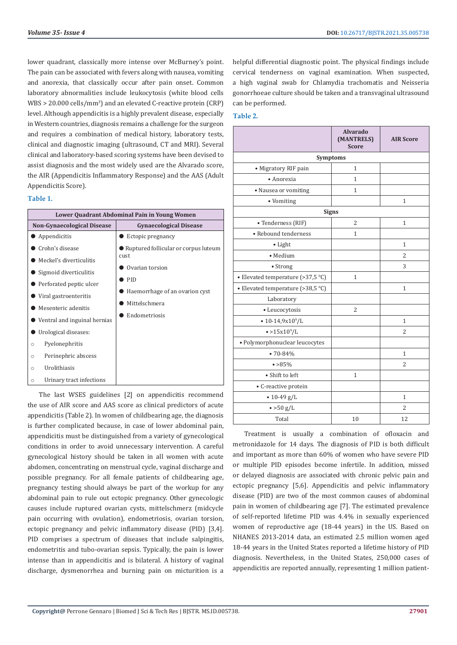lower quadrant, classically more intense over McBurney's point. The pain can be associated with fevers along with nausea, vomiting and anorexia, that classically occur after pain onset. Common laboratory abnormalities include leukocytosis (white blood cells WBS > 20.000 cells/mm<sup>3</sup>) and an elevated C-reactive protein (CRP) level. Although appendicitis is a highly prevalent disease, especially in Western countries, diagnosis remains a challenge for the surgeon and requires a combination of medical history, laboratory tests, clinical and diagnostic imaging (ultrasound, CT and MRI). Several clinical and laboratory-based scoring systems have been devised to assist diagnosis and the most widely used are the Alvarado score, the AIR (Appendicitis Inflammatory Response) and the AAS (Adult Appendicitis Score).

# **Table 1.**

| Lower Quadrant Abdominal Pain in Young Women |                                      |  |  |
|----------------------------------------------|--------------------------------------|--|--|
| <b>Non-Gynaecological Disease</b>            | <b>Gynaecological Disease</b>        |  |  |
| Appendicitis                                 | Ectopic pregnancy                    |  |  |
| Crohn's disease                              | Ruptured follicular or corpus luteum |  |  |
| Meckel's diverticulitis                      | <b>cust</b>                          |  |  |
| Sigmoid diverticulitis                       | Ovarian torsion                      |  |  |
| Perforated peptic ulcer                      | PID                                  |  |  |
| $\bullet$ Viral gastroenteritis              | Haemorrhage of an ovarion cyst       |  |  |
| Mesenteric adenitis                          | Mittelschmera                        |  |  |
| $\bullet$ Ventral and inguinal hernias       | Endometriosis                        |  |  |
| Urological diseases:                         |                                      |  |  |
| Pyelonephritis<br>$\circ$                    |                                      |  |  |
| Perinephric abscess<br>$\circ$               |                                      |  |  |
| Urolithiasis<br>O                            |                                      |  |  |
| Urinary tract infections<br>$\circ$          |                                      |  |  |

The last WSES guidelines [2] on appendicitis recommend the use of AIR score and AAS score as clinical predictors of acute appendicitis (Table 2). In women of childbearing age, the diagnosis is further complicated because, in case of lower abdominal pain, appendicitis must be distinguished from a variety of gynecological conditions in order to avoid unnecessary intervention. A careful gynecological history should be taken in all women with acute abdomen, concentrating on menstrual cycle, vaginal discharge and possible pregnancy. For all female patients of childbearing age, pregnancy testing should always be part of the workup for any abdominal pain to rule out ectopic pregnancy. Other gynecologic causes include ruptured ovarian cysts, mittelschmerz (midcycle pain occurring with ovulation), endometriosis, ovarian torsion, ectopic pregnancy and pelvic inflammatory disease (PID) [3,4]. PID comprises a spectrum of diseases that include salpingitis, endometritis and tubo-ovarian sepsis. Typically, the pain is lower intense than in appendicitis and is bilateral. A history of vaginal discharge, dysmenorrhea and burning pain on micturition is a

helpful differential diagnostic point. The physical findings include cervical tenderness on vaginal examination. When suspected, a high vaginal swab for Chlamydia trachomatis and Neisseria gonorrhoeae culture should be taken and a transvaginal ultrasound can be performed.

# **Table 2.**

|                                   | <b>Alvarado</b><br>(MANTRELS)<br><b>Score</b> | <b>AIR Score</b> |  |
|-----------------------------------|-----------------------------------------------|------------------|--|
| <b>Symptoms</b>                   |                                               |                  |  |
| • Migratory RIF pain              | $\mathbf{1}$                                  |                  |  |
| • Anorexia                        | 1                                             |                  |  |
| • Nausea or vomiting              | 1                                             |                  |  |
| • Vomiting                        |                                               | 1                |  |
| <b>Signs</b>                      |                                               |                  |  |
| · Tenderness (RIF)                | 2                                             | $\mathbf{1}$     |  |
| • Rebound tenderness              | 1                                             |                  |  |
| • Light                           |                                               | 1                |  |
| · Medium                          |                                               | $\overline{2}$   |  |
| • Strong                          |                                               | 3                |  |
| • Elevated temperature (>37,5 °C) | $\mathbf{1}$                                  |                  |  |
| • Elevated temperature (>38,5 °C) |                                               | $\mathbf{1}$     |  |
| Laboratory                        |                                               |                  |  |
| • Leucocytosis                    | $\overline{2}$                                |                  |  |
| $\cdot$ 10-14,9x10 $^{\circ}/$ L  |                                               | 1                |  |
| $\bullet > 15x10^9/L$             |                                               | 2                |  |
| • Polymorphonuclear leucocytes    |                                               |                  |  |
| $•70 - 84%$                       |                                               | $\mathbf{1}$     |  |
| $\bullet > 85\%$                  |                                               | $\overline{2}$   |  |
| • Shift to left                   | $\mathbf{1}$                                  |                  |  |
| • C-reactive protein              |                                               |                  |  |
| $\cdot$ 10-49 g/L                 |                                               | 1                |  |
| $\bullet$ >50 g/L                 |                                               | 2                |  |
| Total                             | 10                                            | 12               |  |

Treatment is usually a combination of ofloxacin and metronidazole for 14 days. The diagnosis of PID is both difficult and important as more than 60% of women who have severe PID or multiple PID episodes become infertile. In addition, missed or delayed diagnosis are associated with chronic pelvic pain and ectopic pregnancy [5,6]. Appendicitis and pelvic inflammatory disease (PID) are two of the most common causes of abdominal pain in women of childbearing age [7]. The estimated prevalence of self-reported lifetime PID was 4.4% in sexually experienced women of reproductive age (18-44 years) in the US. Based on NHANES 2013-2014 data, an estimated 2.5 million women aged 18-44 years in the United States reported a lifetime history of PID diagnosis. Nevertheless, in the United States, 250,000 cases of appendicitis are reported annually, representing 1 million patient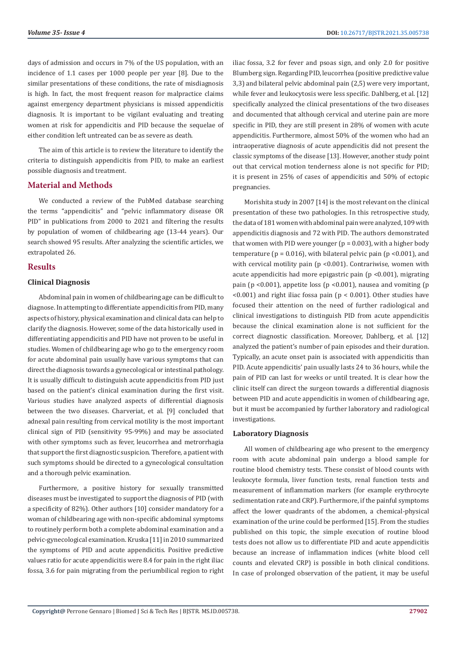days of admission and occurs in 7% of the US population, with an incidence of 1.1 cases per 1000 people per year [8]. Due to the similar presentations of these conditions, the rate of misdiagnosis is high. In fact, the most frequent reason for malpractice claims against emergency department physicians is missed appendicitis diagnosis. It is important to be vigilant evaluating and treating women at risk for appendicitis and PID because the sequelae of either condition left untreated can be as severe as death.

The aim of this article is to review the literature to identify the criteria to distinguish appendicitis from PID, to make an earliest possible diagnosis and treatment.

# **Material and Methods**

We conducted a review of the PubMed database searching the terms "appendicitis" and "pelvic inflammatory disease OR PID" in publications from 2000 to 2021 and filtering the results by population of women of childbearing age (13-44 years). Our search showed 95 results. After analyzing the scientific articles, we extrapolated 26.

# **Results**

# **Clinical Diagnosis**

Abdominal pain in women of childbearing age can be difficult to diagnose. In attempting to differentiate appendicitis from PID, many aspects of history, physical examination and clinical data can help to clarify the diagnosis. However, some of the data historically used in differentiating appendicitis and PID have not proven to be useful in studies. Women of childbearing age who go to the emergency room for acute abdominal pain usually have various symptoms that can direct the diagnosis towards a gynecological or intestinal pathology. It is usually difficult to distinguish acute appendicitis from PID just based on the patient's clinical examination during the first visit. Various studies have analyzed aspects of differential diagnosis between the two diseases. Charveriat, et al. [9] concluded that adnexal pain resulting from cervical motility is the most important clinical sign of PID (sensitivity 95-99%) and may be associated with other symptoms such as fever, leucorrhea and metrorrhagia that support the first diagnostic suspicion. Therefore, a patient with such symptoms should be directed to a gynecological consultation and a thorough pelvic examination.

Furthermore, a positive history for sexually transmitted diseases must be investigated to support the diagnosis of PID (with a specificity of 82%). Other authors [10] consider mandatory for a woman of childbearing age with non-specific abdominal symptoms to routinely perform both a complete abdominal examination and a pelvic-gynecological examination. Kruska [11] in 2010 summarized the symptoms of PID and acute appendicitis. Positive predictive values ratio for acute appendicitis were 8.4 for pain in the right iliac fossa, 3.6 for pain migrating from the periumbilical region to right iliac fossa, 3.2 for fever and psoas sign, and only 2.0 for positive Blumberg sign. Regarding PID, leucorrhea (positive predictive value 3,3) and bilateral pelvic abdominal pain (2,5) were very important, while fever and leukocytosis were less specific. Dahlberg, et al. [12] specifically analyzed the clinical presentations of the two diseases and documented that although cervical and uterine pain are more specific in PID, they are still present in 28% of women with acute appendicitis. Furthermore, almost 50% of the women who had an intraoperative diagnosis of acute appendicitis did not present the classic symptoms of the disease [13]. However, another study point out that cervical motion tenderness alone is not specific for PID; it is present in 25% of cases of appendicitis and 50% of ectopic pregnancies.

Morishita study in 2007 [14] is the most relevant on the clinical presentation of these two pathologies. In this retrospective study, the data of 181 women with abdominal pain were analyzed, 109 with appendicitis diagnosis and 72 with PID. The authors demonstrated that women with PID were younger ( $p = 0.003$ ), with a higher body temperature ( $p = 0.016$ ), with bilateral pelvic pain ( $p \le 0.001$ ), and with cervical motility pain (p <0.001). Contrariwise, women with acute appendicitis had more epigastric pain (p <0.001), migrating pain (p <0.001), appetite loss (p <0.001), nausea and vomiting (p  $(0.001)$  and right iliac fossa pain ( $p < 0.001$ ). Other studies have focused their attention on the need of further radiological and clinical investigations to distinguish PID from acute appendicitis because the clinical examination alone is not sufficient for the correct diagnostic classification. Moreover, Dahlberg, et al. [12] analyzed the patient's number of pain episodes and their duration. Typically, an acute onset pain is associated with appendicitis than PID. Acute appendicitis' pain usually lasts 24 to 36 hours, while the pain of PID can last for weeks or until treated. It is clear how the clinic itself can direct the surgeon towards a differential diagnosis between PID and acute appendicitis in women of childbearing age, but it must be accompanied by further laboratory and radiological investigations.

### **Laboratory Diagnosis**

All women of childbearing age who present to the emergency room with acute abdominal pain undergo a blood sample for routine blood chemistry tests. These consist of blood counts with leukocyte formula, liver function tests, renal function tests and measurement of inflammation markers (for example erythrocyte sedimentation rate and CRP). Furthermore, if the painful symptoms affect the lower quadrants of the abdomen, a chemical-physical examination of the urine could be performed [15]. From the studies published on this topic, the simple execution of routine blood tests does not allow us to differentiate PID and acute appendicitis because an increase of inflammation indices (white blood cell counts and elevated CRP) is possible in both clinical conditions. In case of prolonged observation of the patient, it may be useful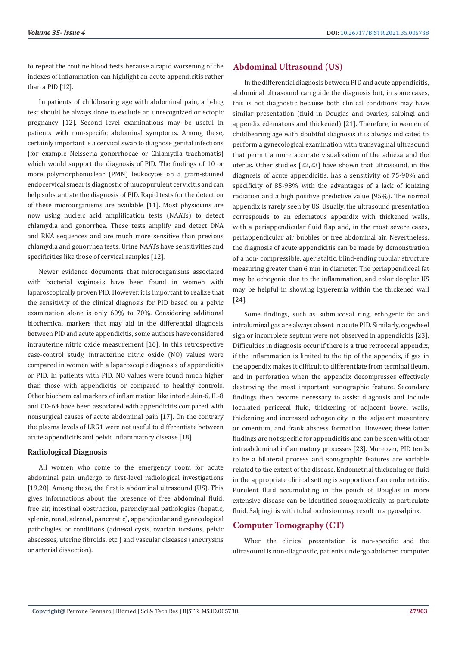to repeat the routine blood tests because a rapid worsening of the indexes of inflammation can highlight an acute appendicitis rather than a PID [12].

In patients of childbearing age with abdominal pain, a b-hcg test should be always done to exclude an unrecognized or ectopic pregnancy [12]. Second level examinations may be useful in patients with non-specific abdominal symptoms. Among these, certainly important is a cervical swab to diagnose genital infections (for example Neisseria gonorrhoeae or Chlamydia trachomatis) which would support the diagnosis of PID. The findings of 10 or more polymorphonuclear (PMN) leukocytes on a gram-stained endocervical smear is diagnostic of mucopurulent cervicitis and can help substantiate the diagnosis of PID. Rapid tests for the detection of these microorganisms are available [11]. Most physicians are now using nucleic acid amplification tests (NAATs) to detect chlamydia and gonorrhea. These tests amplify and detect DNA and RNA sequences and are much more sensitive than previous chlamydia and gonorrhea tests. Urine NAATs have sensitivities and specificities like those of cervical samples [12].

Newer evidence documents that microorganisms associated with bacterial vaginosis have been found in women with laparoscopically proven PID. However, it is important to realize that the sensitivity of the clinical diagnosis for PID based on a pelvic examination alone is only 60% to 70%. Considering additional biochemical markers that may aid in the differential diagnosis between PID and acute appendicitis, some authors have considered intrauterine nitric oxide measurement [16]. In this retrospective case-control study, intrauterine nitric oxide (NO) values were compared in women with a laparoscopic diagnosis of appendicitis or PID. In patients with PID, NO values were found much higher than those with appendicitis or compared to healthy controls. Other biochemical markers of inflammation like interleukin-6, IL-8 and CD-64 have been associated with appendicitis compared with nonsurgical causes of acute abdominal pain [17]. On the contrary the plasma levels of LRG1 were not useful to differentiate between acute appendicitis and pelvic inflammatory disease [18].

### **Radiological Diagnosis**

All women who come to the emergency room for acute abdominal pain undergo to first-level radiological investigations [19,20]. Among these, the first is abdominal ultrasound (US). This gives informations about the presence of free abdominal fluid, free air, intestinal obstruction, parenchymal pathologies (hepatic, splenic, renal, adrenal, pancreatic), appendicular and gynecological pathologies or conditions (adnexal cysts, ovarian torsions, pelvic abscesses, uterine fibroids, etc.) and vascular diseases (aneurysms or arterial dissection).

# **Abdominal Ultrasound (US)**

In the differential diagnosis between PID and acute appendicitis, abdominal ultrasound can guide the diagnosis but, in some cases, this is not diagnostic because both clinical conditions may have similar presentation (fluid in Douglas and ovaries, salpingi and appendix edematous and thickened) [21]. Therefore, in women of childbearing age with doubtful diagnosis it is always indicated to perform a gynecological examination with transvaginal ultrasound that permit a more accurate visualization of the adnexa and the uterus. Other studies [22,23] have shown that ultrasound, in the diagnosis of acute appendicitis, has a sensitivity of 75-90% and specificity of 85-98% with the advantages of a lack of ionizing radiation and a high positive predictive value (95%). The normal appendix is rarely seen by US. Usually, the ultrasound presentation corresponds to an edematous appendix with thickened walls, with a periappendicular fluid flap and, in the most severe cases, periappendicular air bubbles or free abdominal air. Nevertheless, the diagnosis of acute appendicitis can be made by demonstration of a non- compressible, aperistaltic, blind-ending tubular structure measuring greater than 6 mm in diameter. The periappendiceal fat may be echogenic due to the inflammation, and color doppler US may be helpful in showing hyperemia within the thickened wall [24].

Some findings, such as submucosal ring, echogenic fat and intraluminal gas are always absent in acute PID. Similarly, cogwheel sign or incomplete septum were not observed in appendicitis [23]. Difficulties in diagnosis occur if there is a true retrocecal appendix, if the inflammation is limited to the tip of the appendix, if gas in the appendix makes it difficult to differentiate from terminal ileum, and in perforation when the appendix decompresses effectively destroying the most important sonographic feature. Secondary findings then become necessary to assist diagnosis and include loculated pericecal fluid, thickening of adjacent bowel walls, thickening and increased echogenicity in the adjacent mesentery or omentum, and frank abscess formation. However, these latter findings are not specific for appendicitis and can be seen with other intraabdominal inflammatory processes [23]. Moreover, PID tends to be a bilateral process and sonographic features are variable related to the extent of the disease. Endometrial thickening or fluid in the appropriate clinical setting is supportive of an endometritis. Purulent fluid accumulating in the pouch of Douglas in more extensive disease can be identified sonographically as particulate fluid. Salpingitis with tubal occlusion may result in a pyosalpinx.

# **Computer Tomography (CT)**

When the clinical presentation is non-specific and the ultrasound is non-diagnostic, patients undergo abdomen computer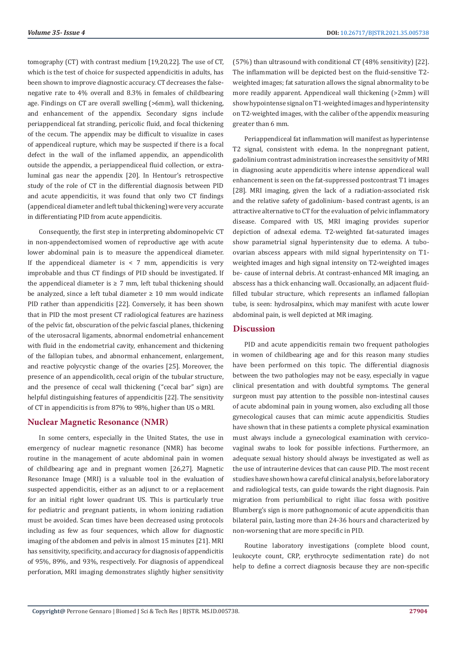tomography (CT) with contrast medium [19,20,22]. The use of CT, which is the test of choice for suspected appendicitis in adults, has been shown to improve diagnostic accuracy. CT decreases the falsenegative rate to 4% overall and 8.3% in females of childbearing age. Findings on CT are overall swelling (>6mm), wall thickening, and enhancement of the appendix. Secondary signs include periappendiceal fat stranding, pericolic fluid, and focal thickening of the cecum. The appendix may be difficult to visualize in cases of appendiceal rupture, which may be suspected if there is a focal defect in the wall of the inflamed appendix, an appendicolith outside the appendix, a periappendiceal fluid collection, or extraluminal gas near the appendix [20]. In Hentour's retrospective study of the role of CT in the differential diagnosis between PID and acute appendicitis, it was found that only two CT findings (appendiceal diameter and left tubal thickening) were very accurate in differentiating PID from acute appendicitis.

Consequently, the first step in interpreting abdominopelvic CT in non-appendectomised women of reproductive age with acute lower abdominal pain is to measure the appendiceal diameter. If the appendiceal diameter is  $\lt$  7 mm, appendicitis is very improbable and thus CT findings of PID should be investigated. If the appendiceal diameter is  $\geq$  7 mm, left tubal thickening should be analyzed, since a left tubal diameter  $\geq 10$  mm would indicate PID rather than appendicitis [22]. Conversely, it has been shown that in PID the most present CT radiological features are haziness of the pelvic fat, obscuration of the pelvic fascial planes, thickening of the uterosacral ligaments, abnormal endometrial enhancement with fluid in the endometrial cavity, enhancement and thickening of the fallopian tubes, and abnormal enhancement, enlargement, and reactive polycystic change of the ovaries [25]. Moreover, the presence of an appendicolith, cecal origin of the tubular structure, and the presence of cecal wall thickening ("cecal bar" sign) are helpful distinguishing features of appendicitis [22]. The sensitivity of CT in appendicitis is from 87% to 98%, higher than US o MRI.

# **Nuclear Magnetic Resonance (NMR)**

In some centers, especially in the United States, the use in emergency of nuclear magnetic resonance (NMR) has become routine in the management of acute abdominal pain in women of childbearing age and in pregnant women [26,27]. Magnetic Resonance Image (MRI) is a valuable tool in the evaluation of suspected appendicitis, either as an adjunct to or a replacement for an initial right lower quadrant US. This is particularly true for pediatric and pregnant patients, in whom ionizing radiation must be avoided. Scan times have been decreased using protocols including as few as four sequences, which allow for diagnostic imaging of the abdomen and pelvis in almost 15 minutes [21]. MRI has sensitivity, specificity, and accuracy for diagnosis of appendicitis of 95%, 89%, and 93%, respectively. For diagnosis of appendiceal perforation, MRI imaging demonstrates slightly higher sensitivity

(57%) than ultrasound with conditional CT (48% sensitivity) [22]. The inflammation will be depicted best on the fluid-sensitive T2 weighted images; fat saturation allows the signal abnormality to be more readily apparent. Appendiceal wall thickening (>2mm) will show hypointense signal on T1-weighted images and hyperintensity on T2-weighted images, with the caliber of the appendix measuring greater than 6 mm.

Periappendiceal fat inflammation will manifest as hyperintense T2 signal, consistent with edema. In the nonpregnant patient, gadolinium contrast administration increases the sensitivity of MRI in diagnosing acute appendicitis where intense appendiceal wall enhancement is seen on the fat-suppressed postcontrast T1 images [28]. MRI imaging, given the lack of a radiation-associated risk and the relative safety of gadolinium- based contrast agents, is an attractive alternative to CT for the evaluation of pelvic inflammatory disease. Compared with US, MRI imaging provides superior depiction of adnexal edema. T2-weighted fat-saturated images show parametrial signal hyperintensity due to edema. A tuboovarian abscess appears with mild signal hyperintensity on T1 weighted images and high signal intensity on T2-weighted images be- cause of internal debris. At contrast-enhanced MR imaging, an abscess has a thick enhancing wall. Occasionally, an adjacent fluidfilled tubular structure, which represents an inflamed fallopian tube, is seen: hydrosalpinx, which may manifest with acute lower abdominal pain, is well depicted at MR imaging.

# **Discussion**

PID and acute appendicitis remain two frequent pathologies in women of childbearing age and for this reason many studies have been performed on this topic. The differential diagnosis between the two pathologies may not be easy, especially in vague clinical presentation and with doubtful symptoms. The general surgeon must pay attention to the possible non-intestinal causes of acute abdominal pain in young women, also excluding all those gynecological causes that can mimic acute appendicitis. Studies have shown that in these patients a complete physical examination must always include a gynecological examination with cervicovaginal swabs to look for possible infections. Furthermore, an adequate sexual history should always be investigated as well as the use of intrauterine devices that can cause PID. The most recent studies have shown how a careful clinical analysis, before laboratory and radiological tests, can guide towards the right diagnosis. Pain migration from periumbilical to right iliac fossa with positive Blumberg's sign is more pathognomonic of acute appendicitis than bilateral pain, lasting more than 24-36 hours and characterized by non-worsening that are more specific in PID.

Routine laboratory investigations (complete blood count, leukocyte count, CRP, erythrocyte sedimentation rate) do not help to define a correct diagnosis because they are non-specific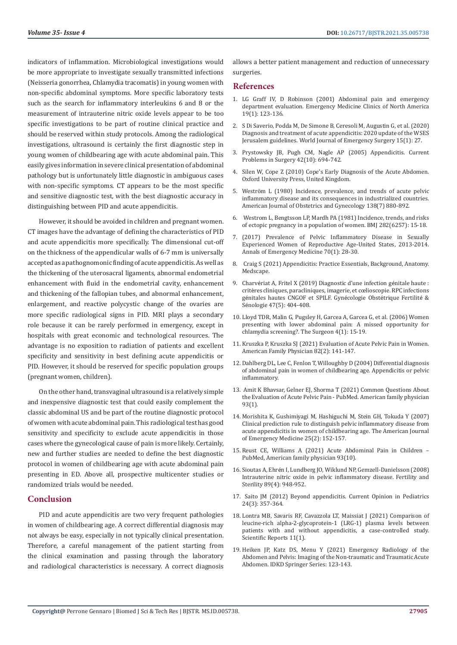indicators of inflammation. Microbiological investigations would be more appropriate to investigate sexually transmitted infections (Neisseria gonorrhea, Chlamydia tracomatis) in young women with non-specific abdominal symptoms. More specific laboratory tests such as the search for inflammatory interleukins 6 and 8 or the measurement of intrauterine nitric oxide levels appear to be too specific investigations to be part of routine clinical practice and should be reserved within study protocols. Among the radiological investigations, ultrasound is certainly the first diagnostic step in young women of childbearing age with acute abdominal pain. This easily gives information in severe clinical presentation of abdominal pathology but is unfortunately little diagnostic in ambiguous cases with non-specific symptoms. CT appears to be the most specific and sensitive diagnostic test, with the best diagnostic accuracy in distinguishing between PID and acute appendicitis.

However, it should be avoided in children and pregnant women. CT images have the advantage of defining the characteristics of PID and acute appendicitis more specifically. The dimensional cut-off on the thickness of the appendicular walls of 6-7 mm is universally accepted as a pathognomonic finding of acute appendicitis. As well as the thickening of the uterosacral ligaments, abnormal endometrial enhancement with fluid in the endometrial cavity, enhancement and thickening of the fallopian tubes, and abnormal enhancement, enlargement, and reactive polycystic change of the ovaries are more specific radiological signs in PID. MRI plays a secondary role because it can be rarely performed in emergency, except in hospitals with great economic and technological resources. The advantage is no exposition to radiation of patients and excellent specificity and sensitivity in best defining acute appendicitis or PID. However, it should be reserved for specific population groups (pregnant women, children).

On the other hand, transvaginal ultrasound is a relatively simple and inexpensive diagnostic test that could easily complement the classic abdominal US and be part of the routine diagnostic protocol of women with acute abdominal pain. This radiological test has good sensitivity and specificity to exclude acute appendicitis in those cases where the gynecological cause of pain is more likely. Certainly, new and further studies are needed to define the best diagnostic protocol in women of childbearing age with acute abdominal pain presenting in ED. Above all, prospective multicenter studies or randomized trials would be needed.

# **Conclusion**

PID and acute appendicitis are two very frequent pathologies in women of childbearing age. A correct differential diagnosis may not always be easy, especially in not typically clinical presentation. Therefore, a careful management of the patient starting from the clinical examination and passing through the laboratory and radiological characteristics is necessary. A correct diagnosis allows a better patient management and reduction of unnecessary surgeries.

# **References**

- 1. [LG Graff IV, D Robinson \(2001\) Abdominal pain and emergency](https://pubmed.ncbi.nlm.nih.gov/11214394/) [department evaluation. Emergency Medicine Clinics of North America](https://pubmed.ncbi.nlm.nih.gov/11214394/) [19\(1\): 123-136.](https://pubmed.ncbi.nlm.nih.gov/11214394/)
- 2. [S Di Saverio, Podda M, De Simone B, Ceresoli M, Augustin G, et al. \(2020\)](https://pubmed.ncbi.nlm.nih.gov/32295644/) [Diagnosis and treatment of acute appendicitis: 2020 update of the WSES](https://pubmed.ncbi.nlm.nih.gov/32295644/) [Jerusalem guidelines. World Journal of Emergency Surgery 15\(1\): 27.](https://pubmed.ncbi.nlm.nih.gov/32295644/)
- 3. [Prystowsky JB, Pugh CM, Nagle AP \(2005\) Appendicitis. Current](https://www.scholars.northwestern.edu/en/publications/appendicitis) [Problems in Surgery 42\(10\): 694-742.](https://www.scholars.northwestern.edu/en/publications/appendicitis)
- 4. Silen W, Cope Z (2010) Cope's Early Diagnosis of the Acute Abdomen. Oxford University Press, United Kingdom.
- 5. [Weström L \(1980\) Incidence, prevalence, and trends of acute pelvic](https://pubmed.ncbi.nlm.nih.gov/7008604/) [inflammatory disease and its consequences in industrialized countries.](https://pubmed.ncbi.nlm.nih.gov/7008604/) [American Journal of Obstetrics and Gynecology 138\(7\) 880-892.](https://pubmed.ncbi.nlm.nih.gov/7008604/)
- 6. [Westrom L, Bengtsson LP, Mardh PA \(1981\) Incidence, trends, and risks](https://www.ncbi.nlm.nih.gov/pmc/articles/PMC1503785/) [of ectopic pregnancy in a population of women. BMJ 282\(6257\): 15-18.](https://www.ncbi.nlm.nih.gov/pmc/articles/PMC1503785/)
- 7. (2017) Prevalence of Pelvic Inflammatory Disease in Sexually Experienced Women of Reproductive Age-United States, 2013-2014. Annals of Emergency Medicine 70(1): 28-30.
- 8. [Craig S \(2021\) Appendicitis: Practice Essentials, Background, Anatomy.](https://emedicine.medscape.com/article/773895-overview%20(accessed%20Apr.%2027,%202021).) [Medscape.](https://emedicine.medscape.com/article/773895-overview%20(accessed%20Apr.%2027,%202021).)
- 9. Charvé[riat A, Fritel X \(2019\) Diagnostic d'une infection g](https://www.sciencedirect.com/science/article/pii/S2468718919301138)énitale haute : critè[res cliniques, paracliniques, imagerie, et cœlioscopie. RPC infections](https://www.sciencedirect.com/science/article/pii/S2468718919301138) gé[nitales hautes CNGOF et SPILF. Gyn](https://www.sciencedirect.com/science/article/pii/S2468718919301138)écologie Obstétrique Fertilité & Sé[nologie 47\(5\): 404-408.](https://www.sciencedirect.com/science/article/pii/S2468718919301138)
- 10. Lloyd TDR, [Malin G, Pugsley H, Garcea A, Garcea G, et al. \(2006\) Women](https://www.sciencedirect.com/science/article/abs/pii/S1479666X06800168) [presenting with lower abdominal pain: A missed opportunity for](https://www.sciencedirect.com/science/article/abs/pii/S1479666X06800168) [chlamydia screening?. The Surgeon 4\(1\): 15-19.](https://www.sciencedirect.com/science/article/abs/pii/S1479666X06800168)
- 11. [Kruszka P, Kruszka SJ \(2021\) Evaluation of Acute Pelvic Pain in Women.](https://www.aafp.org/afp/2010/0715/p141.html) [American Family Physician 82\(2\): 141-147.](https://www.aafp.org/afp/2010/0715/p141.html)
- 12. [Dahlberg DL, Lee C, Fenlon T, Willoughby D \(2004\) Differential diagnosis](https://www.researchgate.net/publication/8913165_Differential_diagnosis_of_abdominal_pain_in_women_of_childbearing_age_Appendicitis_or_pelvic_inflammatory_disease%20(accessed%20Apr.%2027,%202021).) [of abdominal pain in women of childbearing age. Appendicitis or pelvic](https://www.researchgate.net/publication/8913165_Differential_diagnosis_of_abdominal_pain_in_women_of_childbearing_age_Appendicitis_or_pelvic_inflammatory_disease%20(accessed%20Apr.%2027,%202021).) [inflammatory.](https://www.researchgate.net/publication/8913165_Differential_diagnosis_of_abdominal_pain_in_women_of_childbearing_age_Appendicitis_or_pelvic_inflammatory_disease%20(accessed%20Apr.%2027,%202021).)
- 13. [Amit K Bhavsar, Gelner EJ, Shorma T \(2021\) Common Questions About](https://pubmed.ncbi.nlm.nih.gov/26760839/) [the Evaluation of Acute Pelvic Pain - PubMed. American family physician](https://pubmed.ncbi.nlm.nih.gov/26760839/) [93\(1\).](https://pubmed.ncbi.nlm.nih.gov/26760839/)
- 14. [Morishita K, Gushimiyagi M, Hashiguchi M, Stein GH, Tokuda Y \(2007\)](https://pubmed.ncbi.nlm.nih.gov/17276803/) [Clinical prediction rule to distinguish pelvic inflammatory disease from](https://pubmed.ncbi.nlm.nih.gov/17276803/) [acute appendicitis in women of childbearing age. The American Journal](https://pubmed.ncbi.nlm.nih.gov/17276803/) [of Emergency Medicine 25\(2\): 152-157.](https://pubmed.ncbi.nlm.nih.gov/17276803/)
- 15. [Reust CE, Williams A \(2021\) Acute Abdominal Pain in Children –](https://pubmed.ncbi.nlm.nih.gov/27175718/) [PubMed, American family physician 93\(10\).](https://pubmed.ncbi.nlm.nih.gov/27175718/)
- 16. Sioutas A, Ehré[n I, Lundberg JO, Wiklund NP, Gemzell-Danielsson \(2008\)](https://www.sciencedirect.com/science/article/abs/pii/S0015028207009764) [Intrauterine nitric oxide in pelvic inflammatory disease. Fertility and](https://www.sciencedirect.com/science/article/abs/pii/S0015028207009764) [Sterility 89\(4\): 948-952.](https://www.sciencedirect.com/science/article/abs/pii/S0015028207009764)
- 17. [Saito JM \(2012\) Beyond appendicitis. Current Opinion in Pediatrics](https://pubmed.ncbi.nlm.nih.gov/22450248/) [24\(3\): 357-364.](https://pubmed.ncbi.nlm.nih.gov/22450248/)
- 18. [Lontra MB, Savaris RF, Cavazzola LT, Maissiat J \(2021\) Comparison of](https://europepmc.org/article/pmc/pmc7946883) [leucine-rich alpha-2-glycoprotein-1 \(LRG-1\) plasma levels between](https://europepmc.org/article/pmc/pmc7946883) [patients with and without appendicitis, a case-controlled study.](https://europepmc.org/article/pmc/pmc7946883) [Scientific Reports 11\(1\).](https://europepmc.org/article/pmc/pmc7946883)
- 19. [Heiken JP, Katz DS, Menu Y \(2021\) Emergency Radiology of the](https://pubmed.ncbi.nlm.nih.gov/31314362/) [Abdomen and Pelvis: Imaging of the Non-traumatic and Traumatic Acute](https://pubmed.ncbi.nlm.nih.gov/31314362/) [Abdomen. IDKD Springer Series: 123-143.](https://pubmed.ncbi.nlm.nih.gov/31314362/)